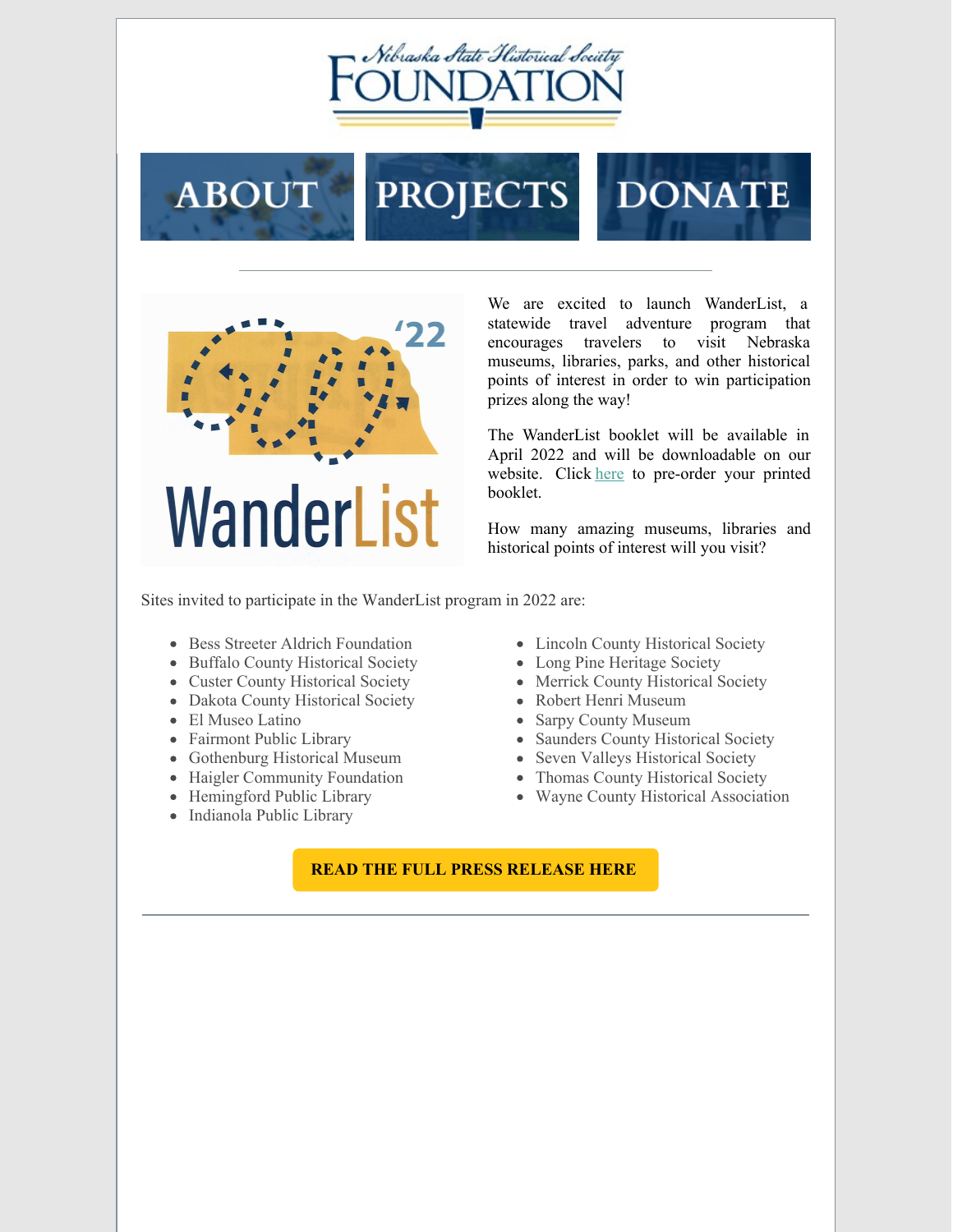

## **ABOUT PROJECTS DONATE**



We are excited to launch WanderList, a statewide travel adventure program that encourages travelers to visit Nebraska museums, libraries, parks, and other historical points of interest in order to win participation prizes along the way!

The WanderList booklet will be available in April 2022 and will be downloadable on our website. Click [here](https://www.nshsf.org/about-us/wanderlist/) to pre-order your printed booklet.

How many amazing museums, libraries and historical points of interest will you visit?

Sites invited to participate in the WanderList program in 2022 are:

- Bess Streeter Aldrich Foundation
- Buffalo County Historical Society
- Custer County Historical Society
- Dakota County Historical Society
- El Museo Latino
- Fairmont Public Library
- Gothenburg Historical Museum
- Haigler Community Foundation
- Hemingford Public Library
- Indianola Public Library
- Lincoln County Historical Society
- Long Pine Heritage Society
- Merrick County Historical Society
- Robert Henri Museum
- Sarpy County Museum
- Saunders County Historical Society
- Seven Valleys Historical Society
- Thomas County Historical Society
- Wayne County Historical Association

## **READ THE FULL PRESS [RELEASE](https://www.nshsf.org/wp-content/uploads/2022/01/Media-Release-WanderList-Launch-FINAL-1-25-2022.pdf) HERE**